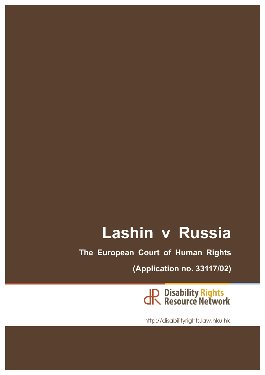# **Lashin v Russia**

**The European Court of Human Rights**

**(Application no. 33117/02)**

JR Disability Rights<br>JR Resource Network

http://disabilityrights.law.hku.hk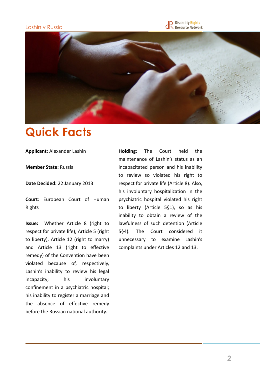#### Lashin v Russia

Disability <mark>Rights</mark><br>Resource Network .



## **Quick Facts**

**Applicant: Alexander Lashin** 

**Member State: Russia** 

**Date Decided:** 22 January 2013

**Court:** European Court of Human Rights 

**Issue:** Whether Article 8 (right to respect for private life), Article 5 (right to liberty), Article 12 (right to marry) and Article 13 (right to effective remedy) of the Convention have been violated because of, respectively, Lashin's inability to review his legal incapacity; his involuntary confinement in a psychiatric hospital; his inability to register a marriage and the absence of effective remedy before the Russian national authority.

**Holding:** The Court held the maintenance of Lashin's status as an incapacitated person and his inability to review so violated his right to respect for private life (Article 8). Also, his involuntary hospitalization in the psychiatric hospital violated his right to liberty (Article 5§1), so as his inability to obtain a review of the lawfulness of such detention (Article 5§4). The Court considered it unnecessary to examine Lashin's complaints under Articles 12 and 13.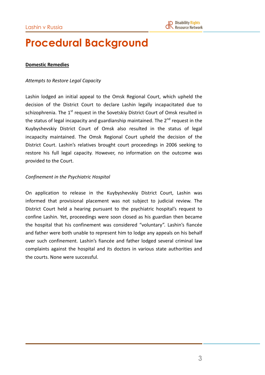## **Procedural Background**

#### **Domestic Remedies**

#### *Attempts to Restore Legal Capacity*

Lashin lodged an initial appeal to the Omsk Regional Court, which upheld the decision of the District Court to declare Lashin legally incapacitated due to schizophrenia. The  $1^{\text{st}}$  request in the Sovetskiy District Court of Omsk resulted in the status of legal incapacity and guardianship maintained. The  $2^{nd}$  request in the Kuybyshevskiy District Court of Omsk also resulted in the status of legal incapacity maintained. The Omsk Regional Court upheld the decision of the District Court. Lashin's relatives brought court proceedings in 2006 seeking to restore his full legal capacity. However, no information on the outcome was provided to the Court.

#### **Confinement in the Psychiatric Hospital**

On application to release in the Kuybyshevskiy District Court, Lashin was informed that provisional placement was not subject to judicial review. The District Court held a hearing pursuant to the psychiatric hospital's request to confine Lashin. Yet, proceedings were soon closed as his guardian then became the hospital that his confinement was considered "voluntary". Lashin's fiancée and father were both unable to represent him to lodge any appeals on his behalf over such confinement. Lashin's fiancée and father lodged several criminal law complaints against the hospital and its doctors in various state authorities and the courts. None were successful.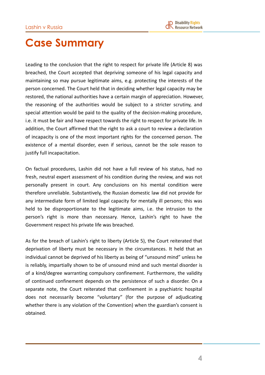## **Case Summary**

Leading to the conclusion that the right to respect for private life (Article 8) was breached, the Court accepted that depriving someone of his legal capacity and maintaining so may pursue legitimate aims, e.g. protecting the interests of the person concerned. The Court held that in deciding whether legal capacity may be restored, the national authorities have a certain margin of appreciation. However, the reasoning of the authorities would be subject to a stricter scrutiny, and special attention would be paid to the quality of the decision-making procedure, i.e. it must be fair and have respect towards the right to respect for private life. In addition, the Court affirmed that the right to ask a court to review a declaration of incapacity is one of the most important rights for the concerned person. The existence of a mental disorder, even if serious, cannot be the sole reason to justify full incapacitation.

On factual procedures, Lashin did not have a full review of his status, had no fresh, neutral expert assessment of his condition during the review, and was not personally present in court. Any conclusions on his mental condition were therefore unreliable. Substantively, the Russian domestic law did not provide for any intermediate form of limited legal capacity for mentally ill persons; this was held to be disproportionate to the legitimate aims, i.e. the intrusion to the person's right is more than necessary. Hence, Lashin's right to have the Government respect his private life was breached.

As for the breach of Lashin's right to liberty (Article 5), the Court reiterated that deprivation of liberty must be necessary in the circumstances. It held that an individual cannot be deprived of his liberty as being of "unsound mind" unless he is reliably, impartially shown to be of unsound mind and such mental disorder is of a kind/degree warranting compulsory confinement. Furthermore, the validity of continued confinement depends on the persistence of such a disorder. On a separate note, the Court reiterated that confinement in a psychiatric hospital does not necessarily become "voluntary" (for the purpose of adjudicating whether there is any violation of the Convention) when the guardian's consent is obtained.